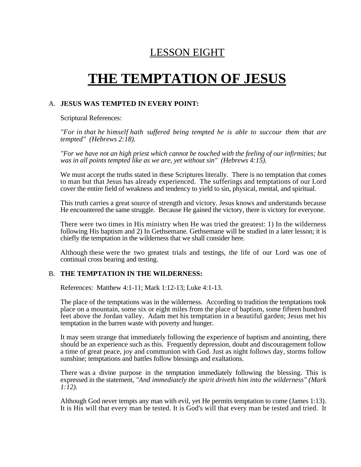# LESSON EIGHT

# **THE TEMPTATION OF JESUS**

#### A. **JESUS WAS TEMPTED IN EVERY POINT:**

Scriptural References:

*"For in that he himself hath suffered being tempted he is able to succour them that are tempted" (Hebrews 2:18).*

*"For we have not an high priest which cannot be touched with the feeling of our infirmities; but was in all points tempted like as we are, yet without sin" (Hebrews 4:15).*

We must accept the truths stated in these Scriptures literally. There is no temptation that comes to man but that Jesus has already experienced. The sufferings and temptations of our Lord cover the entire field of weakness and tendency to yield to sin, physical, mental, and spiritual.

This truth carries a great source of strength and victory. Jesus knows and understands because He encountered the same struggle. Because He gained the victory, there is victory for everyone.

There were two times in His ministry when He was tried the greatest: 1) In the wilderness following His baptism and 2) In Gethsemane. Gethsemane will be studied in a later lesson; it is chiefly the temptation in the wilderness that we shall consider here.

Although these were the two greatest trials and testings, the life of our Lord was one of continual cross bearing and testing.

#### B. **THE TEMPTATION IN THE WILDERNESS:**

References: Matthew 4:1-11; Mark 1:12-13; Luke 4:1-13.

The place of the temptations was in the wilderness. According to tradition the temptations took place on a mountain, some six or eight miles from the place of baptism, some fifteen hundred feet above the Jordan valley. Adam met his temptation in a beautiful garden; Jesus met his temptation in the barren waste with poverty and hunger.

It may seem strange that immediately following the experience of baptism and anointing, there should be an experience such as this. Frequently depression, doubt and discouragement follow a time of great peace, joy and communion with God. Just as night follows day, storms follow sunshine; temptations and battles follow blessings and exaltations.

There was a divine purpose in the temptation immediately following the blessing. This is expressed in the statement, *"And immediately the spirit driveth him into the wilderness" (Mark 1:12).*

Although God never tempts any man with evil, yet He permits temptation to come (James 1:13). It is His will that every man be tested. It is God's will that every man be tested and tried. It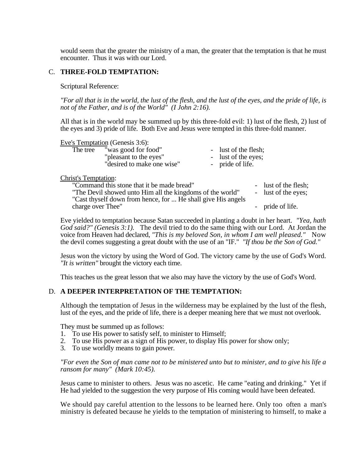would seem that the greater the ministry of a man, the greater that the temptation is that he must encounter. Thus it was with our Lord.

#### C. **THREE-FOLD TEMPTATION:**

Scriptural Reference:

*"For all that is in the world, the lust of the flesh, and the lust of the eyes, and the pride of life, is not of the Father, and is of the World" (I John 2:16).*

All that is in the world may be summed up by this three-fold evil: 1) lust of the flesh, 2) lust of the eyes and 3) pride of life. Both Eve and Jesus were tempted in this three-fold manner.

|          | Eve's Temptation (Genesis 3:6): |                      |
|----------|---------------------------------|----------------------|
| The tree | "was good for food"             | - lust of the flesh; |
|          | "pleasant to the eyes"          | - lust of the eyes;  |
|          | "desired to make one wise"      | - pride of life.     |

#### Christ's Temptation:

| "Command this stone that it be made bread"                   | - lust of the flesh; |
|--------------------------------------------------------------|----------------------|
| "The Devil showed unto Him all the kingdoms of the world"    | - lust of the eyes;  |
| "Cast thyself down from hence, for  He shall give His angels |                      |
| charge over Thee"                                            | - pride of life.     |

Eve yielded to temptation because Satan succeeded in planting a doubt in her heart. *"Yea, hath God said?" (Genesis 3:1).* The devil tried to do the same thing with our Lord. At Jordan the voice from Heaven had declared, *"This is my beloved Son, in whom I am well pleased."* Now the devil comes suggesting a great doubt with the use of an "IF." *"If thou be the Son of God."*

Jesus won the victory by using the Word of God. The victory came by the use of God's Word. *"It is written"* brought the victory each time.

This teaches us the great lesson that we also may have the victory by the use of God's Word.

#### D. **A DEEPER INTERPRETATION OF THE TEMPTATION:**

Although the temptation of Jesus in the wilderness may be explained by the lust of the flesh, lust of the eyes, and the pride of life, there is a deeper meaning here that we must not overlook.

They must be summed up as follows:

- 1. To use His power to satisfy self, to minister to Himself;
- 2. To use His power as a sign of His power, to display His power for show only;
- 3. To use worldly means to gain power.

*"For even the Son of man came not to be ministered unto but to minister, and to give his life a ransom for many" (Mark 10:45).*

Jesus came to minister to others. Jesus was no ascetic. He came "eating and drinking." Yet if He had yielded to the suggestion the very purpose of His coming would have been defeated.

We should pay careful attention to the lessons to be learned here. Only too often a man's ministry is defeated because he yields to the temptation of ministering to himself, to make a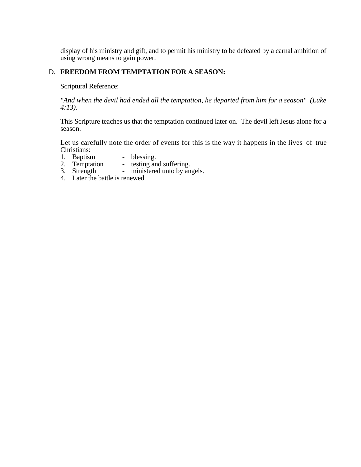display of his ministry and gift, and to permit his ministry to be defeated by a carnal ambition of using wrong means to gain power.

### D. **FREEDOM FROM TEMPTATION FOR A SEASON:**

Scriptural Reference:

*"And when the devil had ended all the temptation, he departed from him for a season" (Luke 4:13).*

This Scripture teaches us that the temptation continued later on. The devil left Jesus alone for a season.

Let us carefully note the order of events for this is the way it happens in the lives of true Christians:

- 1. Baptism blessing.<br>2. Temptation testing an
- 2. Temptation testing and suffering.
- 3. Strength ministered unto by angels.
- 4. Later the battle is renewed.